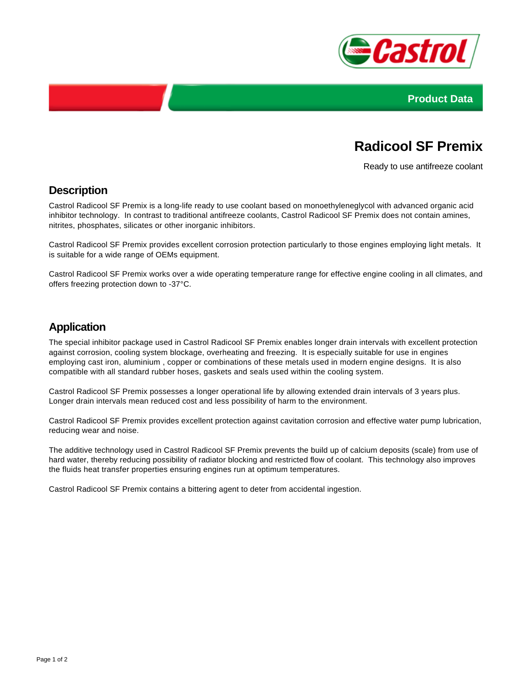



# **Radicool SF Premix**

Ready to use antifreeze coolant

#### **Description**

Castrol Radicool SF Premix is a long-life ready to use coolant based on monoethyleneglycol with advanced organic acid inhibitor technology. In contrast to traditional antifreeze coolants, Castrol Radicool SF Premix does not contain amines, nitrites, phosphates, silicates or other inorganic inhibitors.

Castrol Radicool SF Premix provides excellent corrosion protection particularly to those engines employing light metals. It is suitable for a wide range of OEMs equipment.

Castrol Radicool SF Premix works over a wide operating temperature range for effective engine cooling in all climates, and offers freezing protection down to -37°C.

### **Application**

The special inhibitor package used in Castrol Radicool SF Premix enables longer drain intervals with excellent protection against corrosion, cooling system blockage, overheating and freezing. It is especially suitable for use in engines employing cast iron, aluminium , copper or combinations of these metals used in modern engine designs. It is also compatible with all standard rubber hoses, gaskets and seals used within the cooling system.

Castrol Radicool SF Premix possesses a longer operational life by allowing extended drain intervals of 3 years plus. Longer drain intervals mean reduced cost and less possibility of harm to the environment.

Castrol Radicool SF Premix provides excellent protection against cavitation corrosion and effective water pump lubrication, reducing wear and noise.

The additive technology used in Castrol Radicool SF Premix prevents the build up of calcium deposits (scale) from use of hard water, thereby reducing possibility of radiator blocking and restricted flow of coolant. This technology also improves the fluids heat transfer properties ensuring engines run at optimum temperatures.

Castrol Radicool SF Premix contains a bittering agent to deter from accidental ingestion.